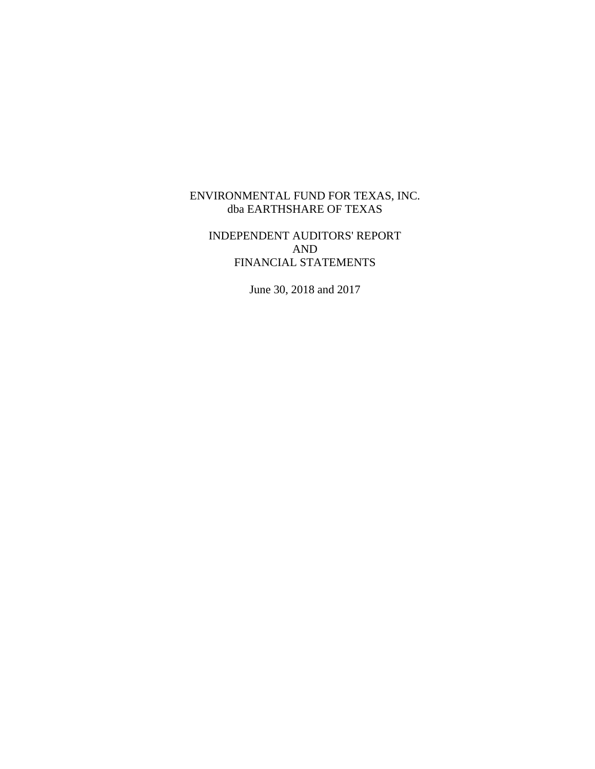## INDEPENDENT AUDITORS' REPORT AND FINANCIAL STATEMENTS

June 30, 2018 and 2017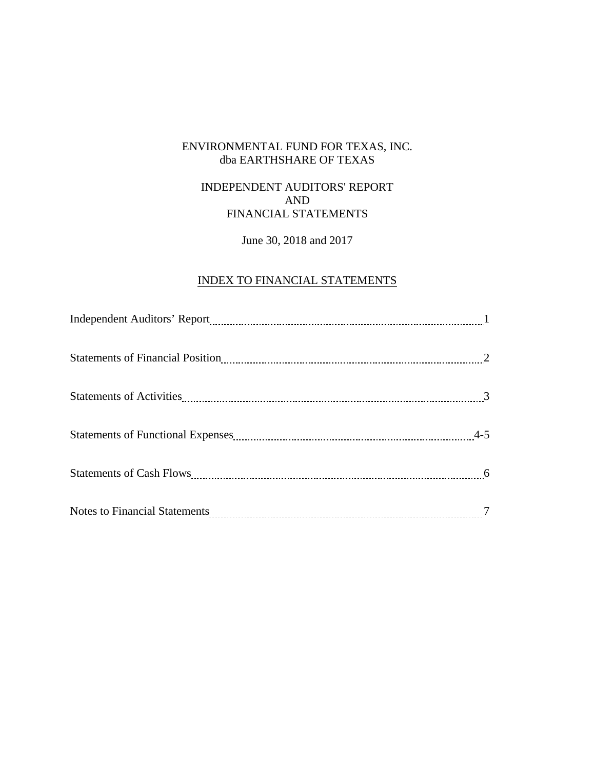## INDEPENDENT AUDITORS' REPORT AND FINANCIAL STATEMENTS

## June 30, 2018 and 2017

# INDEX TO FINANCIAL STATEMENTS

| Statements of Financial Position 2008 and 2008 and 2008 and 2008 and 2008 and 2008 and 2008 and 2008 and 2008 and 2008 and 2008 and 2008 and 2008 and 2008 and 2008 and 2008 and 2008 and 2008 and 2008 and 2008 and 2008 and  |         |
|--------------------------------------------------------------------------------------------------------------------------------------------------------------------------------------------------------------------------------|---------|
| Statements of Activities 35.25 and 35.35 and 35.45 and 35.45 and 35.45 and 35.45 and 35.45 and 35.45 and 35.45 and 35.45 and 35.45 and 35.45 and 35.45 and 35.45 and 35.45 and 35.45 and 4.45 and 4.45 and 4.45 and 4.45 and 4 |         |
|                                                                                                                                                                                                                                | $4 - 5$ |
|                                                                                                                                                                                                                                |         |
|                                                                                                                                                                                                                                |         |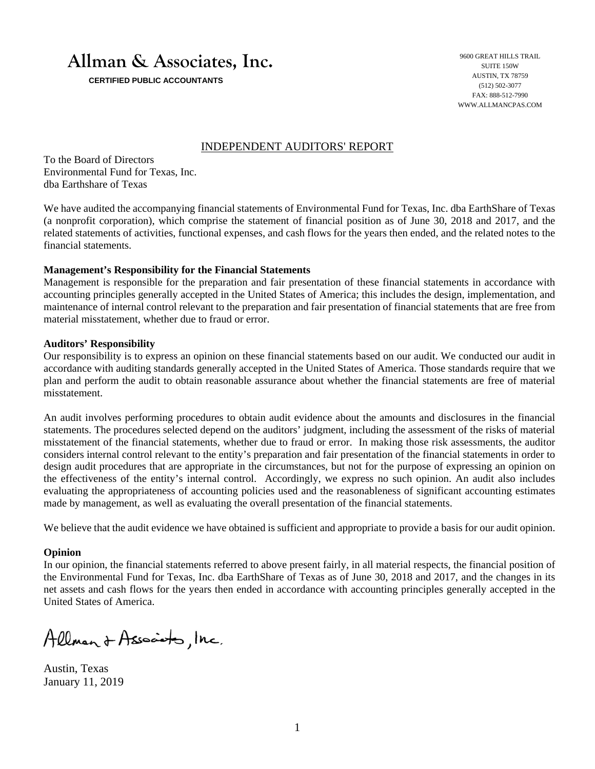# **Allman & Associates, Inc.**

 **CERTIFIED PUBLIC ACCOUNTANTS** 

9600 GREAT HILLS TRAIL SUITE 150W AUSTIN, TX 78759 (512) 502-3077 FAX: 888-512-7990 WWW.ALLMANCPAS.COM

#### INDEPENDENT AUDITORS' REPORT

To the Board of Directors Environmental Fund for Texas, Inc. dba Earthshare of Texas

We have audited the accompanying financial statements of Environmental Fund for Texas, Inc. dba EarthShare of Texas (a nonprofit corporation), which comprise the statement of financial position as of June 30, 2018 and 2017, and the related statements of activities, functional expenses, and cash flows for the years then ended, and the related notes to the financial statements.

#### **Management's Responsibility for the Financial Statements**

Management is responsible for the preparation and fair presentation of these financial statements in accordance with accounting principles generally accepted in the United States of America; this includes the design, implementation, and maintenance of internal control relevant to the preparation and fair presentation of financial statements that are free from material misstatement, whether due to fraud or error.

#### **Auditors' Responsibility**

Our responsibility is to express an opinion on these financial statements based on our audit. We conducted our audit in accordance with auditing standards generally accepted in the United States of America. Those standards require that we plan and perform the audit to obtain reasonable assurance about whether the financial statements are free of material misstatement.

An audit involves performing procedures to obtain audit evidence about the amounts and disclosures in the financial statements. The procedures selected depend on the auditors' judgment, including the assessment of the risks of material misstatement of the financial statements, whether due to fraud or error. In making those risk assessments, the auditor considers internal control relevant to the entity's preparation and fair presentation of the financial statements in order to design audit procedures that are appropriate in the circumstances, but not for the purpose of expressing an opinion on the effectiveness of the entity's internal control. Accordingly, we express no such opinion. An audit also includes evaluating the appropriateness of accounting policies used and the reasonableness of significant accounting estimates made by management, as well as evaluating the overall presentation of the financial statements.

We believe that the audit evidence we have obtained is sufficient and appropriate to provide a basis for our audit opinion.

#### **Opinion**

In our opinion, the financial statements referred to above present fairly, in all material respects, the financial position of the Environmental Fund for Texas, Inc. dba EarthShare of Texas as of June 30, 2018 and 2017, and the changes in its net assets and cash flows for the years then ended in accordance with accounting principles generally accepted in the United States of America.

Allman & Associato, Inc.

Austin, Texas January 11, 2019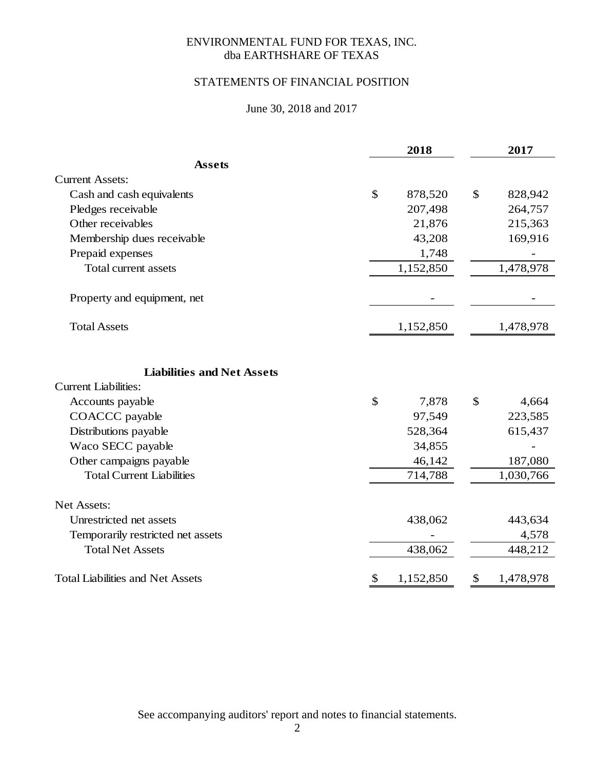# STATEMENTS OF FINANCIAL POSITION

# June 30, 2018 and 2017

|                                                                  |               | 2018      | 2017            |
|------------------------------------------------------------------|---------------|-----------|-----------------|
| <b>Assets</b>                                                    |               |           |                 |
| <b>Current Assets:</b>                                           |               |           |                 |
| Cash and cash equivalents                                        | \$            | 878,520   | \$<br>828,942   |
| Pledges receivable                                               |               | 207,498   | 264,757         |
| Other receivables                                                |               | 21,876    | 215,363         |
| Membership dues receivable                                       |               | 43,208    | 169,916         |
| Prepaid expenses                                                 |               | 1,748     |                 |
| Total current assets                                             |               | 1,152,850 | 1,478,978       |
| Property and equipment, net                                      |               |           |                 |
| <b>Total Assets</b>                                              |               | 1,152,850 | 1,478,978       |
| <b>Liabilities and Net Assets</b><br><b>Current Liabilities:</b> |               |           |                 |
| Accounts payable                                                 | $\mathcal{S}$ | 7,878     | \$<br>4,664     |
| COACCC payable                                                   |               | 97,549    | 223,585         |
| Distributions payable                                            |               | 528,364   | 615,437         |
| Waco SECC payable                                                |               | 34,855    |                 |
| Other campaigns payable                                          |               | 46,142    | 187,080         |
| <b>Total Current Liabilities</b>                                 |               | 714,788   | 1,030,766       |
| Net Assets:                                                      |               |           |                 |
| Unrestricted net assets                                          |               | 438,062   | 443,634         |
| Temporarily restricted net assets                                |               |           | 4,578           |
| <b>Total Net Assets</b>                                          |               | 438,062   | 448,212         |
| <b>Total Liabilities and Net Assets</b>                          | \$            | 1,152,850 | \$<br>1,478,978 |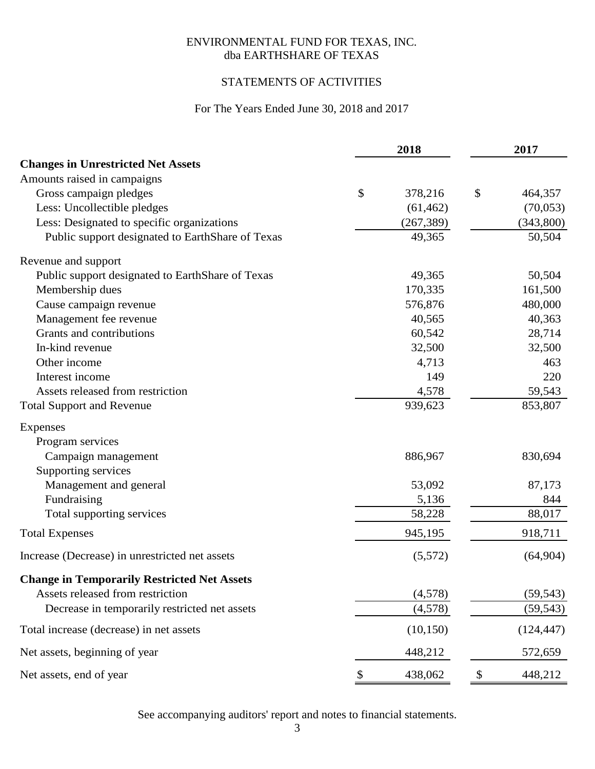# STATEMENTS OF ACTIVITIES

# For The Years Ended June 30, 2018 and 2017

|                                                    | 2018          |                           | 2017       |
|----------------------------------------------------|---------------|---------------------------|------------|
| <b>Changes in Unrestricted Net Assets</b>          |               |                           |            |
| Amounts raised in campaigns                        |               |                           |            |
| Gross campaign pledges                             | \$<br>378,216 | $\boldsymbol{\mathsf{S}}$ | 464,357    |
| Less: Uncollectible pledges                        | (61, 462)     |                           | (70,053)   |
| Less: Designated to specific organizations         | (267, 389)    |                           | (343,800)  |
| Public support designated to EarthShare of Texas   | 49,365        |                           | 50,504     |
| Revenue and support                                |               |                           |            |
| Public support designated to EarthShare of Texas   | 49,365        |                           | 50,504     |
| Membership dues                                    | 170,335       |                           | 161,500    |
| Cause campaign revenue                             | 576,876       |                           | 480,000    |
| Management fee revenue                             | 40,565        |                           | 40,363     |
| Grants and contributions                           | 60,542        |                           | 28,714     |
| In-kind revenue                                    | 32,500        |                           | 32,500     |
| Other income                                       | 4,713         |                           | 463        |
| Interest income                                    | 149           |                           | 220        |
| Assets released from restriction                   | 4,578         |                           | 59,543     |
| <b>Total Support and Revenue</b>                   | 939,623       |                           | 853,807    |
| Expenses                                           |               |                           |            |
| Program services                                   |               |                           |            |
| Campaign management                                | 886,967       |                           | 830,694    |
| Supporting services                                |               |                           |            |
| Management and general                             | 53,092        |                           | 87,173     |
| Fundraising                                        | 5,136         |                           | 844        |
| Total supporting services                          | 58,228        |                           | 88,017     |
| <b>Total Expenses</b>                              | 945,195       |                           | 918,711    |
| Increase (Decrease) in unrestricted net assets     | (5,572)       |                           | (64,904)   |
| <b>Change in Temporarily Restricted Net Assets</b> |               |                           |            |
| Assets released from restriction                   | (4,578)       |                           | (59, 543)  |
| Decrease in temporarily restricted net assets      | (4,578)       |                           | (59, 543)  |
| Total increase (decrease) in net assets            | (10, 150)     |                           | (124, 447) |
| Net assets, beginning of year                      | 448,212       |                           | 572,659    |
| Net assets, end of year                            | \$<br>438,062 | \$                        | 448,212    |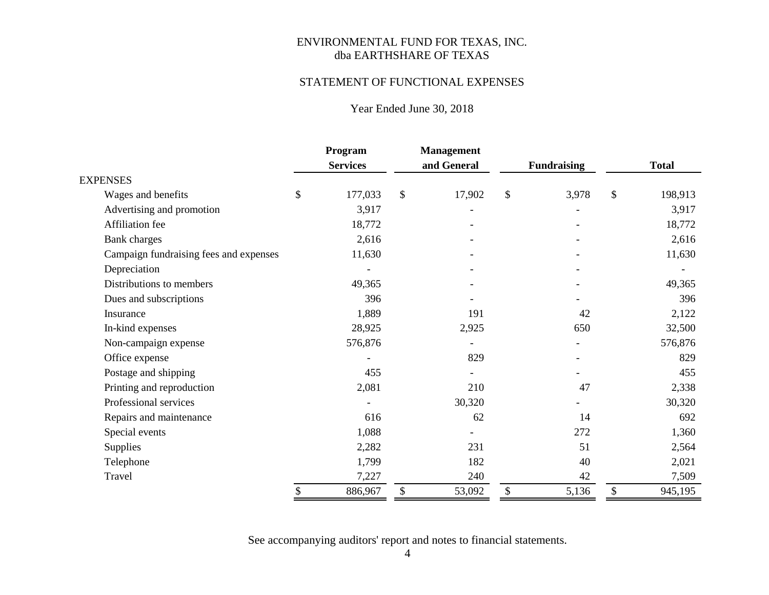#### STATEMENT OF FUNCTIONAL EXPENSES

# Year Ended June 30, 2018

|                                        | Program<br><b>Services</b> | <b>Management</b><br>and General | <b>Fundraising</b> |              | <b>Total</b> |
|----------------------------------------|----------------------------|----------------------------------|--------------------|--------------|--------------|
| <b>EXPENSES</b>                        |                            |                                  |                    |              |              |
| Wages and benefits                     | \$<br>177,033              | \$<br>17,902                     | \$<br>3,978        | $\mathbb{S}$ | 198,913      |
| Advertising and promotion              | 3,917                      |                                  |                    |              | 3,917        |
| <b>Affiliation</b> fee                 | 18,772                     |                                  |                    |              | 18,772       |
| <b>Bank</b> charges                    | 2,616                      |                                  |                    |              | 2,616        |
| Campaign fundraising fees and expenses | 11,630                     |                                  |                    |              | 11,630       |
| Depreciation                           |                            |                                  |                    |              |              |
| Distributions to members               | 49,365                     |                                  |                    |              | 49,365       |
| Dues and subscriptions                 | 396                        |                                  |                    |              | 396          |
| Insurance                              | 1,889                      | 191                              | 42                 |              | 2,122        |
| In-kind expenses                       | 28,925                     | 2,925                            | 650                |              | 32,500       |
| Non-campaign expense                   | 576,876                    |                                  |                    |              | 576,876      |
| Office expense                         |                            | 829                              |                    |              | 829          |
| Postage and shipping                   | 455                        |                                  |                    |              | 455          |
| Printing and reproduction              | 2,081                      | 210                              | 47                 |              | 2,338        |
| Professional services                  |                            | 30,320                           |                    |              | 30,320       |
| Repairs and maintenance                | 616                        | 62                               | 14                 |              | 692          |
| Special events                         | 1,088                      |                                  | 272                |              | 1,360        |
| Supplies                               | 2,282                      | 231                              | 51                 |              | 2,564        |
| Telephone                              | 1,799                      | 182                              | 40                 |              | 2,021        |
| Travel                                 | 7,227                      | 240                              | 42                 |              | 7,509        |
|                                        | \$<br>886,967              | \$<br>53,092                     | \$<br>5,136        | \$           | 945,195      |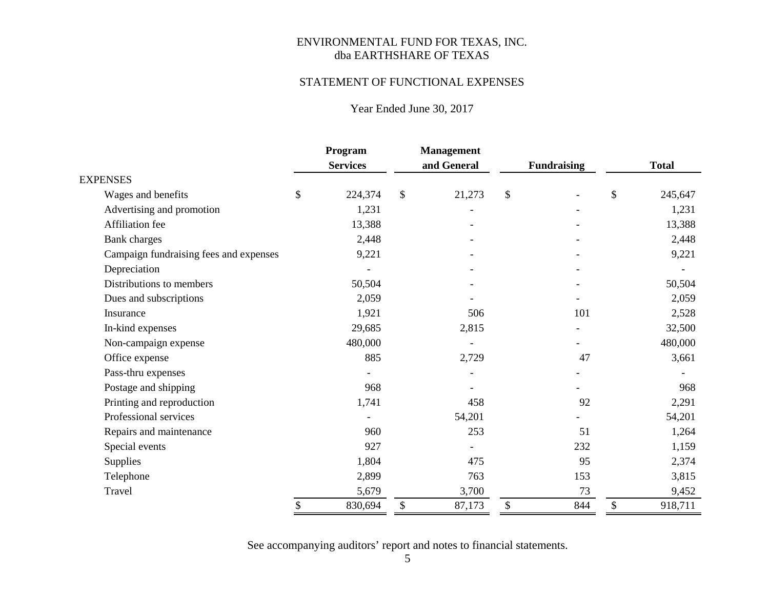#### STATEMENT OF FUNCTIONAL EXPENSES

## Year Ended June 30, 2017

|                                        | Program         | <b>Management</b> |      |                    |      |              |
|----------------------------------------|-----------------|-------------------|------|--------------------|------|--------------|
|                                        | <b>Services</b> | and General       |      | <b>Fundraising</b> |      | <b>Total</b> |
| <b>EXPENSES</b>                        |                 |                   |      |                    |      |              |
| Wages and benefits                     | \$<br>224,374   | \$<br>21,273      | \$   |                    | $\$$ | 245,647      |
| Advertising and promotion              | 1,231           |                   |      |                    |      | 1,231        |
| Affiliation fee                        | 13,388          |                   |      |                    |      | 13,388       |
| <b>Bank</b> charges                    | 2,448           |                   |      |                    |      | 2,448        |
| Campaign fundraising fees and expenses | 9,221           |                   |      |                    |      | 9,221        |
| Depreciation                           |                 |                   |      |                    |      |              |
| Distributions to members               | 50,504          |                   |      |                    |      | 50,504       |
| Dues and subscriptions                 | 2,059           |                   |      |                    |      | 2,059        |
| Insurance                              | 1,921           | 506               |      | 101                |      | 2,528        |
| In-kind expenses                       | 29,685          | 2,815             |      |                    |      | 32,500       |
| Non-campaign expense                   | 480,000         |                   |      |                    |      | 480,000      |
| Office expense                         | 885             | 2,729             |      | 47                 |      | 3,661        |
| Pass-thru expenses                     |                 |                   |      |                    |      |              |
| Postage and shipping                   | 968             |                   |      |                    |      | 968          |
| Printing and reproduction              | 1,741           | 458               |      | 92                 |      | 2,291        |
| Professional services                  |                 | 54,201            |      |                    |      | 54,201       |
| Repairs and maintenance                | 960             | 253               |      | 51                 |      | 1,264        |
| Special events                         | 927             |                   |      | 232                |      | 1,159        |
| Supplies                               | 1,804           | 475               |      | 95                 |      | 2,374        |
| Telephone                              | 2,899           | 763               |      | 153                |      | 3,815        |
| Travel                                 | 5,679           | 3,700             |      | 73                 |      | 9,452        |
|                                        | \$<br>830,694   | \$<br>87,173      | $\$$ | 844                | $\$$ | 918,711      |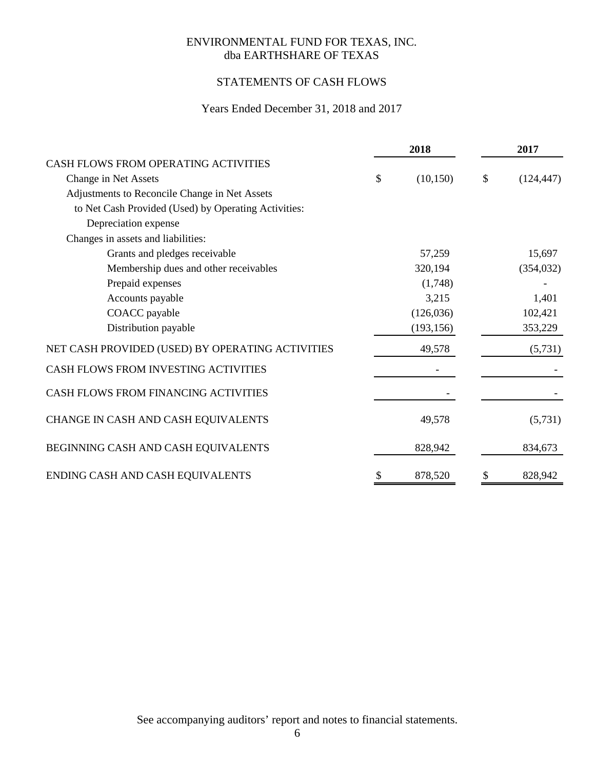# STATEMENTS OF CASH FLOWS

## Years Ended December 31, 2018 and 2017

|                                                      | 2018            | 2017             |
|------------------------------------------------------|-----------------|------------------|
| CASH FLOWS FROM OPERATING ACTIVITIES                 |                 |                  |
| Change in Net Assets                                 | \$<br>(10, 150) | \$<br>(124, 447) |
| Adjustments to Reconcile Change in Net Assets        |                 |                  |
| to Net Cash Provided (Used) by Operating Activities: |                 |                  |
| Depreciation expense                                 |                 |                  |
| Changes in assets and liabilities:                   |                 |                  |
| Grants and pledges receivable                        | 57,259          | 15,697           |
| Membership dues and other receivables                | 320,194         | (354, 032)       |
| Prepaid expenses                                     | (1,748)         |                  |
| Accounts payable                                     | 3,215           | 1,401            |
| COACC payable                                        | (126, 036)      | 102,421          |
| Distribution payable                                 | (193, 156)      | 353,229          |
| NET CASH PROVIDED (USED) BY OPERATING ACTIVITIES     | 49,578          | (5,731)          |
| CASH FLOWS FROM INVESTING ACTIVITIES                 |                 |                  |
| CASH FLOWS FROM FINANCING ACTIVITIES                 |                 |                  |
| CHANGE IN CASH AND CASH EQUIVALENTS                  | 49,578          | (5,731)          |
| BEGINNING CASH AND CASH EQUIVALENTS                  | 828,942         | 834,673          |
| ENDING CASH AND CASH EQUIVALENTS                     | \$<br>878,520   | \$<br>828,942    |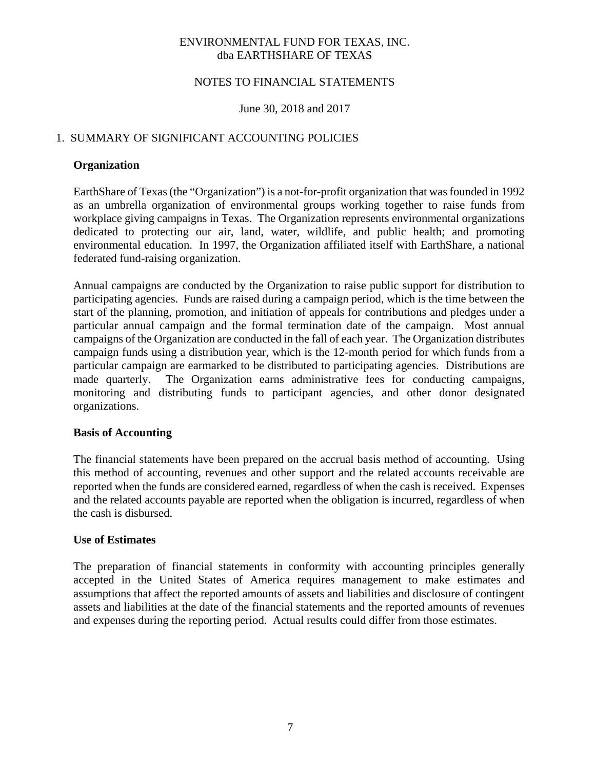#### NOTES TO FINANCIAL STATEMENTS

#### June 30, 2018 and 2017

## 1. SUMMARY OF SIGNIFICANT ACCOUNTING POLICIES

#### **Organization**

EarthShare of Texas (the "Organization") is a not-for-profit organization that was founded in 1992 as an umbrella organization of environmental groups working together to raise funds from workplace giving campaigns in Texas. The Organization represents environmental organizations dedicated to protecting our air, land, water, wildlife, and public health; and promoting environmental education. In 1997, the Organization affiliated itself with EarthShare, a national federated fund-raising organization.

Annual campaigns are conducted by the Organization to raise public support for distribution to participating agencies. Funds are raised during a campaign period, which is the time between the start of the planning, promotion, and initiation of appeals for contributions and pledges under a particular annual campaign and the formal termination date of the campaign. Most annual campaigns of the Organization are conducted in the fall of each year. The Organization distributes campaign funds using a distribution year, which is the 12-month period for which funds from a particular campaign are earmarked to be distributed to participating agencies. Distributions are made quarterly. The Organization earns administrative fees for conducting campaigns, monitoring and distributing funds to participant agencies, and other donor designated organizations.

#### **Basis of Accounting**

The financial statements have been prepared on the accrual basis method of accounting. Using this method of accounting, revenues and other support and the related accounts receivable are reported when the funds are considered earned, regardless of when the cash is received. Expenses and the related accounts payable are reported when the obligation is incurred, regardless of when the cash is disbursed.

#### **Use of Estimates**

The preparation of financial statements in conformity with accounting principles generally accepted in the United States of America requires management to make estimates and assumptions that affect the reported amounts of assets and liabilities and disclosure of contingent assets and liabilities at the date of the financial statements and the reported amounts of revenues and expenses during the reporting period. Actual results could differ from those estimates.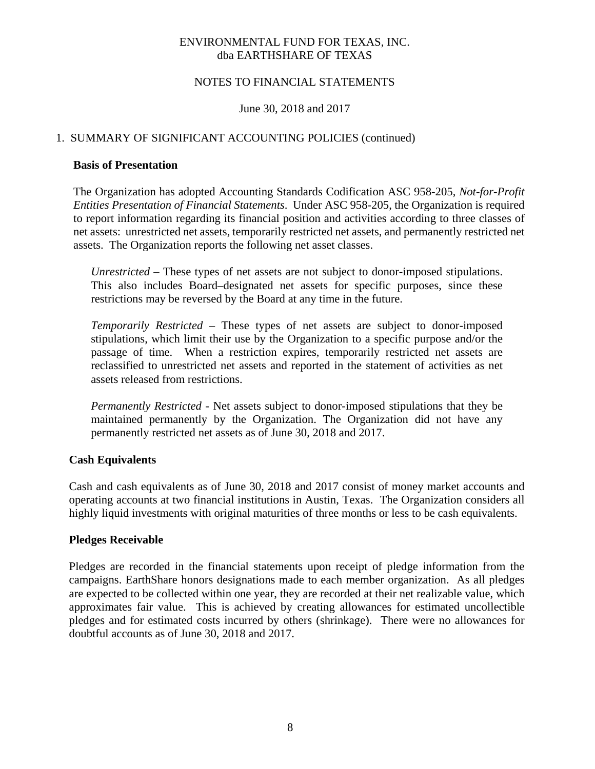#### NOTES TO FINANCIAL STATEMENTS

#### June 30, 2018 and 2017

#### 1. SUMMARY OF SIGNIFICANT ACCOUNTING POLICIES (continued)

#### **Basis of Presentation**

The Organization has adopted Accounting Standards Codification ASC 958-205, *Not-for-Profit Entities Presentation of Financial Statements*. Under ASC 958-205, the Organization is required to report information regarding its financial position and activities according to three classes of net assets: unrestricted net assets, temporarily restricted net assets, and permanently restricted net assets. The Organization reports the following net asset classes.

*Unrestricted –* These types of net assets are not subject to donor-imposed stipulations. This also includes Board–designated net assets for specific purposes, since these restrictions may be reversed by the Board at any time in the future.

*Temporarily Restricted –* These types of net assets are subject to donor-imposed stipulations, which limit their use by the Organization to a specific purpose and/or the passage of time. When a restriction expires, temporarily restricted net assets are reclassified to unrestricted net assets and reported in the statement of activities as net assets released from restrictions.

*Permanently Restricted -* Net assets subject to donor-imposed stipulations that they be maintained permanently by the Organization. The Organization did not have any permanently restricted net assets as of June 30, 2018 and 2017.

#### **Cash Equivalents**

Cash and cash equivalents as of June 30, 2018 and 2017 consist of money market accounts and operating accounts at two financial institutions in Austin, Texas. The Organization considers all highly liquid investments with original maturities of three months or less to be cash equivalents.

#### **Pledges Receivable**

Pledges are recorded in the financial statements upon receipt of pledge information from the campaigns. EarthShare honors designations made to each member organization. As all pledges are expected to be collected within one year, they are recorded at their net realizable value, which approximates fair value. This is achieved by creating allowances for estimated uncollectible pledges and for estimated costs incurred by others (shrinkage). There were no allowances for doubtful accounts as of June 30, 2018 and 2017.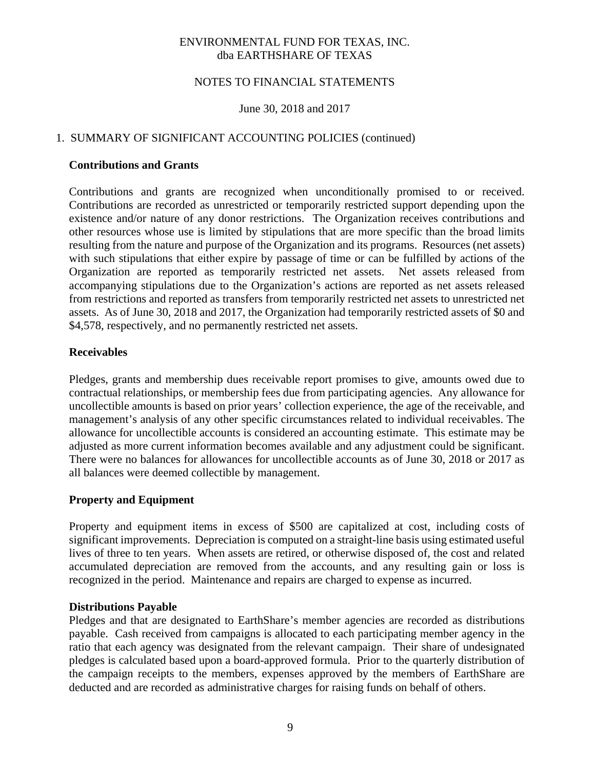#### NOTES TO FINANCIAL STATEMENTS

#### June 30, 2018 and 2017

## 1. SUMMARY OF SIGNIFICANT ACCOUNTING POLICIES (continued)

#### **Contributions and Grants**

Contributions and grants are recognized when unconditionally promised to or received. Contributions are recorded as unrestricted or temporarily restricted support depending upon the existence and/or nature of any donor restrictions. The Organization receives contributions and other resources whose use is limited by stipulations that are more specific than the broad limits resulting from the nature and purpose of the Organization and its programs. Resources (net assets) with such stipulations that either expire by passage of time or can be fulfilled by actions of the Organization are reported as temporarily restricted net assets. Net assets released from accompanying stipulations due to the Organization's actions are reported as net assets released from restrictions and reported as transfers from temporarily restricted net assets to unrestricted net assets. As of June 30, 2018 and 2017, the Organization had temporarily restricted assets of \$0 and \$4,578, respectively, and no permanently restricted net assets.

#### **Receivables**

Pledges, grants and membership dues receivable report promises to give, amounts owed due to contractual relationships, or membership fees due from participating agencies. Any allowance for uncollectible amounts is based on prior years' collection experience, the age of the receivable, and management's analysis of any other specific circumstances related to individual receivables. The allowance for uncollectible accounts is considered an accounting estimate. This estimate may be adjusted as more current information becomes available and any adjustment could be significant. There were no balances for allowances for uncollectible accounts as of June 30, 2018 or 2017 as all balances were deemed collectible by management.

#### **Property and Equipment**

Property and equipment items in excess of \$500 are capitalized at cost, including costs of significant improvements. Depreciation is computed on a straight-line basis using estimated useful lives of three to ten years. When assets are retired, or otherwise disposed of, the cost and related accumulated depreciation are removed from the accounts, and any resulting gain or loss is recognized in the period. Maintenance and repairs are charged to expense as incurred.

#### **Distributions Payable**

Pledges and that are designated to EarthShare's member agencies are recorded as distributions payable. Cash received from campaigns is allocated to each participating member agency in the ratio that each agency was designated from the relevant campaign. Their share of undesignated pledges is calculated based upon a board-approved formula. Prior to the quarterly distribution of the campaign receipts to the members, expenses approved by the members of EarthShare are deducted and are recorded as administrative charges for raising funds on behalf of others.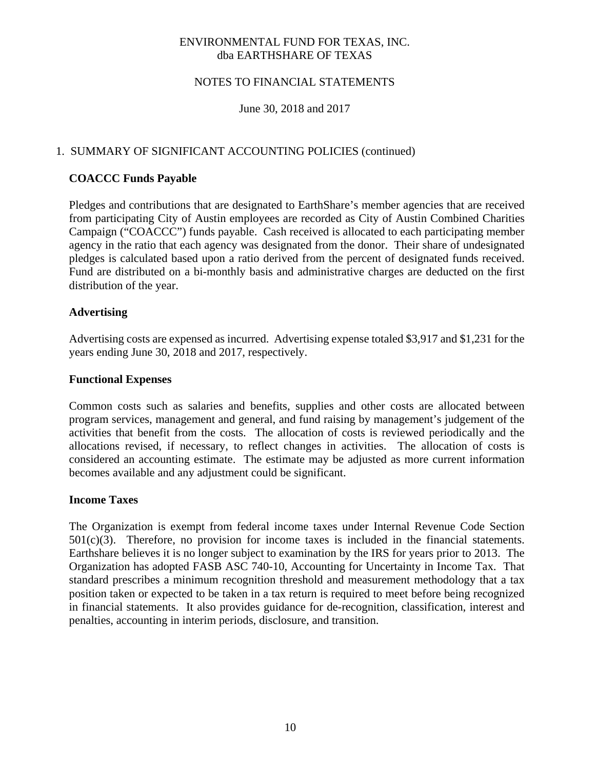#### NOTES TO FINANCIAL STATEMENTS

#### June 30, 2018 and 2017

## 1. SUMMARY OF SIGNIFICANT ACCOUNTING POLICIES (continued)

#### **COACCC Funds Payable**

Pledges and contributions that are designated to EarthShare's member agencies that are received from participating City of Austin employees are recorded as City of Austin Combined Charities Campaign ("COACCC") funds payable. Cash received is allocated to each participating member agency in the ratio that each agency was designated from the donor. Their share of undesignated pledges is calculated based upon a ratio derived from the percent of designated funds received. Fund are distributed on a bi-monthly basis and administrative charges are deducted on the first distribution of the year.

#### **Advertising**

Advertising costs are expensed as incurred. Advertising expense totaled \$3,917 and \$1,231 for the years ending June 30, 2018 and 2017, respectively.

#### **Functional Expenses**

Common costs such as salaries and benefits, supplies and other costs are allocated between program services, management and general, and fund raising by management's judgement of the activities that benefit from the costs. The allocation of costs is reviewed periodically and the allocations revised, if necessary, to reflect changes in activities. The allocation of costs is considered an accounting estimate. The estimate may be adjusted as more current information becomes available and any adjustment could be significant.

#### **Income Taxes**

The Organization is exempt from federal income taxes under Internal Revenue Code Section  $501(c)(3)$ . Therefore, no provision for income taxes is included in the financial statements. Earthshare believes it is no longer subject to examination by the IRS for years prior to 2013. The Organization has adopted FASB ASC 740-10, Accounting for Uncertainty in Income Tax. That standard prescribes a minimum recognition threshold and measurement methodology that a tax position taken or expected to be taken in a tax return is required to meet before being recognized in financial statements. It also provides guidance for de-recognition, classification, interest and penalties, accounting in interim periods, disclosure, and transition.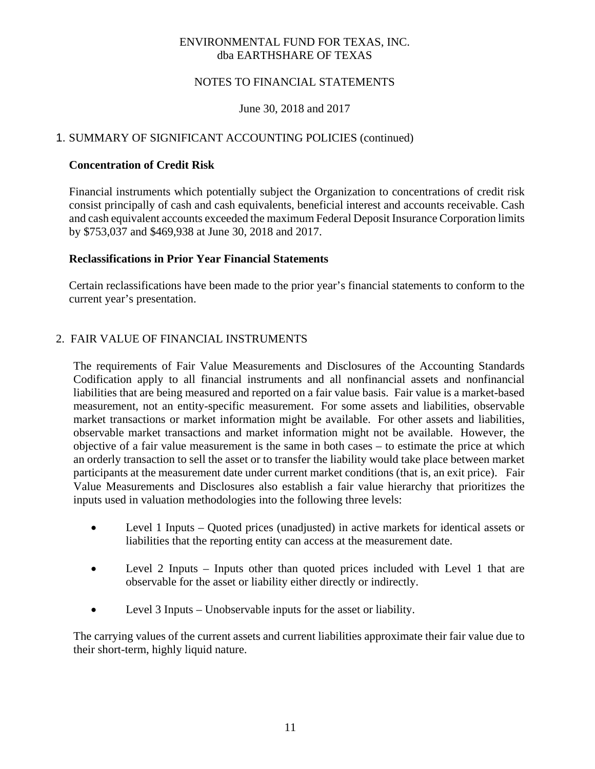## NOTES TO FINANCIAL STATEMENTS

#### June 30, 2018 and 2017

## 1. SUMMARY OF SIGNIFICANT ACCOUNTING POLICIES (continued)

#### **Concentration of Credit Risk**

Financial instruments which potentially subject the Organization to concentrations of credit risk consist principally of cash and cash equivalents, beneficial interest and accounts receivable. Cash and cash equivalent accounts exceeded the maximum Federal Deposit Insurance Corporation limits by \$753,037 and \$469,938 at June 30, 2018 and 2017.

#### **Reclassifications in Prior Year Financial Statements**

Certain reclassifications have been made to the prior year's financial statements to conform to the current year's presentation.

## 2. FAIR VALUE OF FINANCIAL INSTRUMENTS

The requirements of Fair Value Measurements and Disclosures of the Accounting Standards Codification apply to all financial instruments and all nonfinancial assets and nonfinancial liabilities that are being measured and reported on a fair value basis. Fair value is a market-based measurement, not an entity-specific measurement. For some assets and liabilities, observable market transactions or market information might be available. For other assets and liabilities, observable market transactions and market information might not be available. However, the objective of a fair value measurement is the same in both cases – to estimate the price at which an orderly transaction to sell the asset or to transfer the liability would take place between market participants at the measurement date under current market conditions (that is, an exit price). Fair Value Measurements and Disclosures also establish a fair value hierarchy that prioritizes the inputs used in valuation methodologies into the following three levels:

- Level 1 Inputs Quoted prices (unadjusted) in active markets for identical assets or liabilities that the reporting entity can access at the measurement date.
- Level 2 Inputs Inputs other than quoted prices included with Level 1 that are observable for the asset or liability either directly or indirectly.
- Level 3 Inputs Unobservable inputs for the asset or liability.

The carrying values of the current assets and current liabilities approximate their fair value due to their short-term, highly liquid nature.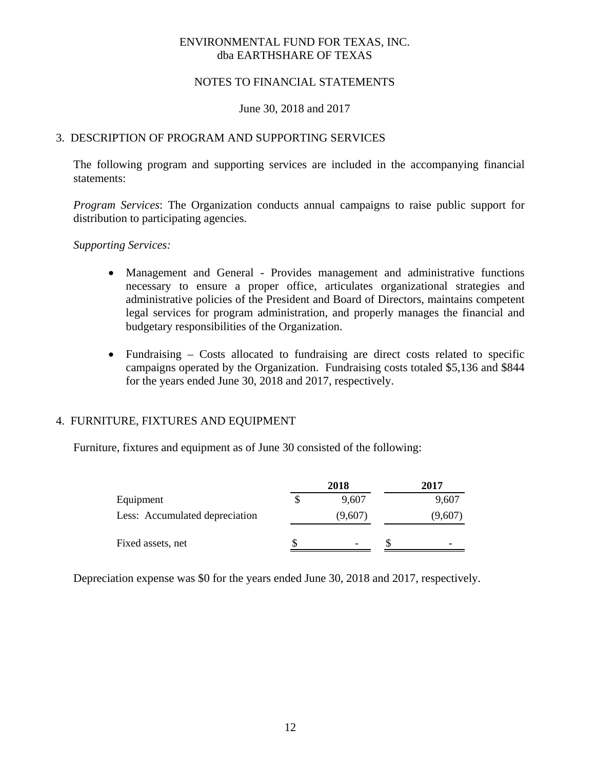#### NOTES TO FINANCIAL STATEMENTS

#### June 30, 2018 and 2017

### 3. DESCRIPTION OF PROGRAM AND SUPPORTING SERVICES

The following program and supporting services are included in the accompanying financial statements:

*Program Services*: The Organization conducts annual campaigns to raise public support for distribution to participating agencies.

#### *Supporting Services:*

- Management and General Provides management and administrative functions necessary to ensure a proper office, articulates organizational strategies and administrative policies of the President and Board of Directors, maintains competent legal services for program administration, and properly manages the financial and budgetary responsibilities of the Organization.
- Fundraising Costs allocated to fundraising are direct costs related to specific campaigns operated by the Organization. Fundraising costs totaled \$5,136 and \$844 for the years ended June 30, 2018 and 2017, respectively.

#### 4. FURNITURE, FIXTURES AND EQUIPMENT

Furniture, fixtures and equipment as of June 30 consisted of the following:

|                                | 2018    | 2017    |
|--------------------------------|---------|---------|
| Equipment                      | 9,607   | 9,607   |
| Less: Accumulated depreciation | (9,607) | (9,607) |
| Fixed assets, net              | -       |         |

Depreciation expense was \$0 for the years ended June 30, 2018 and 2017, respectively.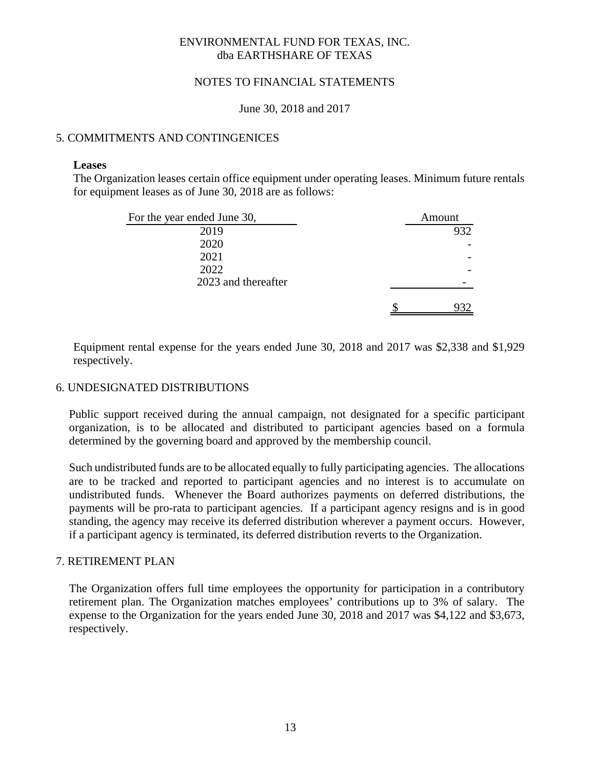#### NOTES TO FINANCIAL STATEMENTS

June 30, 2018 and 2017

## 5. COMMITMENTS AND CONTINGENICES

#### **Leases**

The Organization leases certain office equipment under operating leases. Minimum future rentals for equipment leases as of June 30, 2018 are as follows:

| For the year ended June 30, | Amount |
|-----------------------------|--------|
| 2019                        | 932    |
| 2020                        |        |
| 2021                        |        |
| 2022                        |        |
| 2023 and thereafter         |        |
|                             |        |

Equipment rental expense for the years ended June 30, 2018 and 2017 was \$2,338 and \$1,929 respectively.

#### 6. UNDESIGNATED DISTRIBUTIONS

Public support received during the annual campaign, not designated for a specific participant organization, is to be allocated and distributed to participant agencies based on a formula determined by the governing board and approved by the membership council.

Such undistributed funds are to be allocated equally to fully participating agencies. The allocations are to be tracked and reported to participant agencies and no interest is to accumulate on undistributed funds. Whenever the Board authorizes payments on deferred distributions, the payments will be pro-rata to participant agencies. If a participant agency resigns and is in good standing, the agency may receive its deferred distribution wherever a payment occurs. However, if a participant agency is terminated, its deferred distribution reverts to the Organization.

#### 7. RETIREMENT PLAN

The Organization offers full time employees the opportunity for participation in a contributory retirement plan. The Organization matches employees' contributions up to 3% of salary. The expense to the Organization for the years ended June 30, 2018 and 2017 was \$4,122 and \$3,673, respectively.